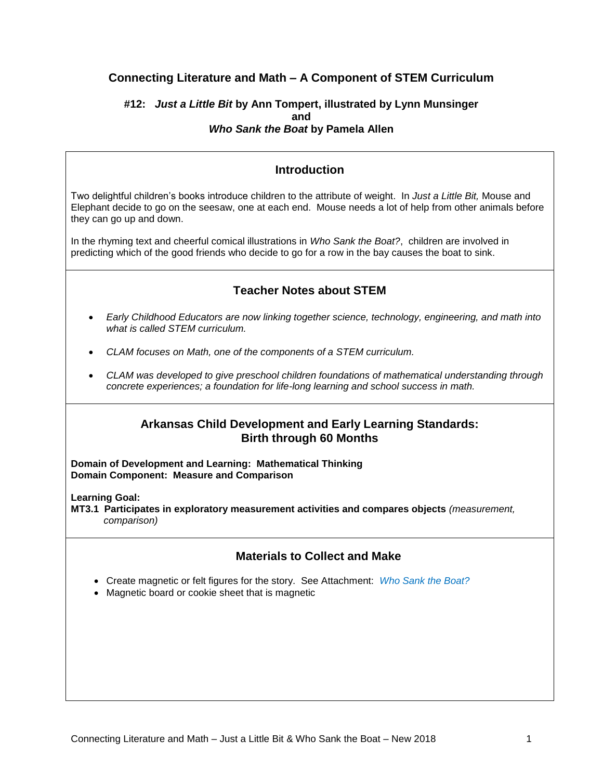# **Connecting Literature and Math – A Component of STEM Curriculum**

## **#12:** *Just a Little Bit* **by Ann Tompert, illustrated by Lynn Munsinger and** *Who Sank the Boat* **by Pamela Allen**

## **Introduction**

Two delightful children's books introduce children to the attribute of weight. In *Just a Little Bit,* Mouse and Elephant decide to go on the seesaw, one at each end. Mouse needs a lot of help from other animals before they can go up and down.

In the rhyming text and cheerful comical illustrations in *Who Sank the Boat?*, children are involved in predicting which of the good friends who decide to go for a row in the bay causes the boat to sink.

# **Teacher Notes about STEM**

- *Early Childhood Educators are now linking together science, technology, engineering, and math into what is called STEM curriculum.*
- *CLAM focuses on Math, one of the components of a STEM curriculum.*
- *CLAM was developed to give preschool children foundations of mathematical understanding through concrete experiences; a foundation for life-long learning and school success in math.*

## **Arkansas Child Development and Early Learning Standards: Birth through 60 Months**

**Domain of Development and Learning: Mathematical Thinking Domain Component: Measure and Comparison**

**Learning Goal:**

**MT3.1 Participates in exploratory measurement activities and compares objects** *(measurement, comparison)*

# **Materials to Collect and Make**

- Create magnetic or felt figures for the story. See Attachment: *Who Sank the Boat?*
- Magnetic board or cookie sheet that is magnetic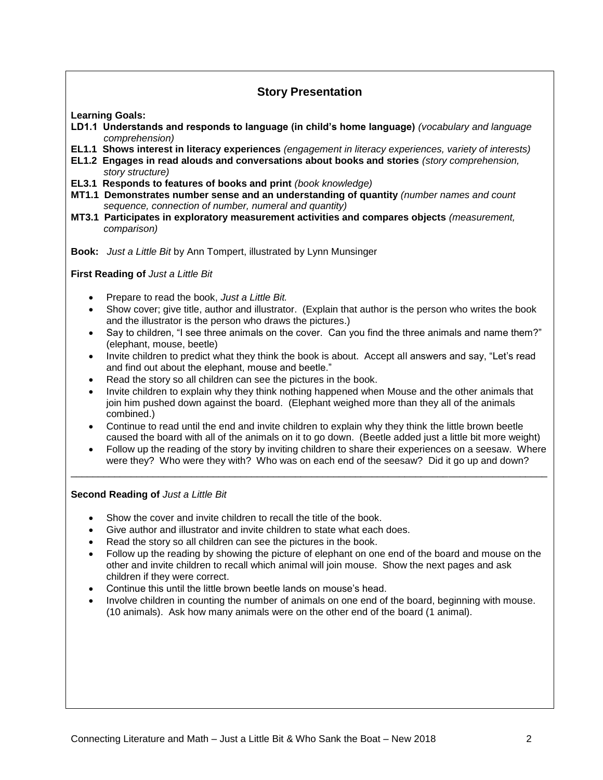# **Story Presentation**

**Learning Goals:**

- **LD1.1 Understands and responds to language (in child's home language)** *(vocabulary and language comprehension)*
- **EL1.1 Shows interest in literacy experiences** *(engagement in literacy experiences, variety of interests)*
- **EL1.2 Engages in read alouds and conversations about books and stories** *(story comprehension, story structure)*
- **EL3.1 Responds to features of books and print** *(book knowledge)*
- **MT1.1 Demonstrates number sense and an understanding of quantity** *(number names and count sequence, connection of number, numeral and quantity)*
- **MT3.1 Participates in exploratory measurement activities and compares objects** *(measurement, comparison)*

**Book:** *Just a Little Bit* by Ann Tompert, illustrated by Lynn Munsinger

**First Reading of** *Just a Little Bit*

- Prepare to read the book, *Just a Little Bit.*
- Show cover; give title, author and illustrator. (Explain that author is the person who writes the book and the illustrator is the person who draws the pictures.)
- Say to children, "I see three animals on the cover. Can you find the three animals and name them?" (elephant, mouse, beetle)
- Invite children to predict what they think the book is about. Accept all answers and say, "Let's read and find out about the elephant, mouse and beetle."
- Read the story so all children can see the pictures in the book.
- Invite children to explain why they think nothing happened when Mouse and the other animals that join him pushed down against the board. (Elephant weighed more than they all of the animals combined.)
- Continue to read until the end and invite children to explain why they think the little brown beetle caused the board with all of the animals on it to go down. (Beetle added just a little bit more weight)
- Follow up the reading of the story by inviting children to share their experiences on a seesaw. Where were they? Who were they with? Who was on each end of the seesaw? Did it go up and down?

\_\_\_\_\_\_\_\_\_\_\_\_\_\_\_\_\_\_\_\_\_\_\_\_\_\_\_\_\_\_\_\_\_\_\_\_\_\_\_\_\_\_\_\_\_\_\_\_\_\_\_\_\_\_\_\_\_\_\_\_\_\_\_\_\_\_\_\_\_\_\_\_\_\_\_\_\_\_\_\_\_\_\_\_\_\_\_

**Second Reading of** *Just a Little Bit*

- Show the cover and invite children to recall the title of the book.
- Give author and illustrator and invite children to state what each does.
- Read the story so all children can see the pictures in the book.
- Follow up the reading by showing the picture of elephant on one end of the board and mouse on the other and invite children to recall which animal will join mouse. Show the next pages and ask children if they were correct.
- Continue this until the little brown beetle lands on mouse's head.
- Involve children in counting the number of animals on one end of the board, beginning with mouse. (10 animals). Ask how many animals were on the other end of the board (1 animal).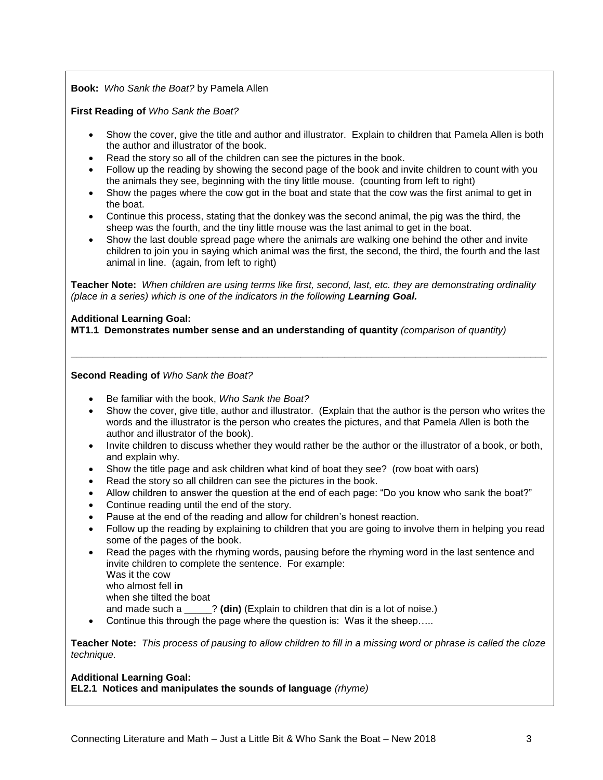### **Book:** *Who Sank the Boat?* by Pamela Allen

#### **First Reading of** *Who Sank the Boat?*

- Show the cover, give the title and author and illustrator. Explain to children that Pamela Allen is both the author and illustrator of the book.
- Read the story so all of the children can see the pictures in the book.
- Follow up the reading by showing the second page of the book and invite children to count with you the animals they see, beginning with the tiny little mouse. (counting from left to right)
- Show the pages where the cow got in the boat and state that the cow was the first animal to get in the boat.
- Continue this process, stating that the donkey was the second animal, the pig was the third, the sheep was the fourth, and the tiny little mouse was the last animal to get in the boat.
- Show the last double spread page where the animals are walking one behind the other and invite children to join you in saying which animal was the first, the second, the third, the fourth and the last animal in line. (again, from left to right)

**Teacher Note:** *When children are using terms like first, second, last, etc. they are demonstrating ordinality (place in a series) which is one of the indicators in the following Learning Goal.*

**\_\_\_\_\_\_\_\_\_\_\_\_\_\_\_\_\_\_\_\_\_\_\_\_\_\_\_\_\_\_\_\_\_\_\_\_\_\_\_\_\_\_\_\_\_\_\_\_\_\_\_\_\_\_\_\_\_\_\_\_\_\_\_\_\_\_\_\_\_\_\_\_\_\_\_\_\_\_\_\_\_\_\_\_\_\_\_**

#### **Additional Learning Goal:**

**MT1.1 Demonstrates number sense and an understanding of quantity** *(comparison of quantity)*

**Second Reading of** *Who Sank the Boat?*

- Be familiar with the book, *Who Sank the Boat?*
- Show the cover, give title, author and illustrator. (Explain that the author is the person who writes the words and the illustrator is the person who creates the pictures, and that Pamela Allen is both the author and illustrator of the book).
- Invite children to discuss whether they would rather be the author or the illustrator of a book, or both, and explain why.
- Show the title page and ask children what kind of boat they see? (row boat with oars)
- Read the story so all children can see the pictures in the book.
- Allow children to answer the question at the end of each page: "Do you know who sank the boat?"
- Continue reading until the end of the story.
- Pause at the end of the reading and allow for children's honest reaction.
- Follow up the reading by explaining to children that you are going to involve them in helping you read some of the pages of the book.
- Read the pages with the rhyming words, pausing before the rhyming word in the last sentence and invite children to complete the sentence. For example: Was it the cow
	- who almost fell **in**

when she tilted the boat

and made such a \_\_\_\_\_? **(din)** (Explain to children that din is a lot of noise.)

Continue this through the page where the question is: Was it the sheep…..

**Teacher Note:** *This process of pausing to allow children to fill in a missing word or phrase is called the cloze technique.*

## **Additional Learning Goal:**

**EL2.1 Notices and manipulates the sounds of language** *(rhyme)*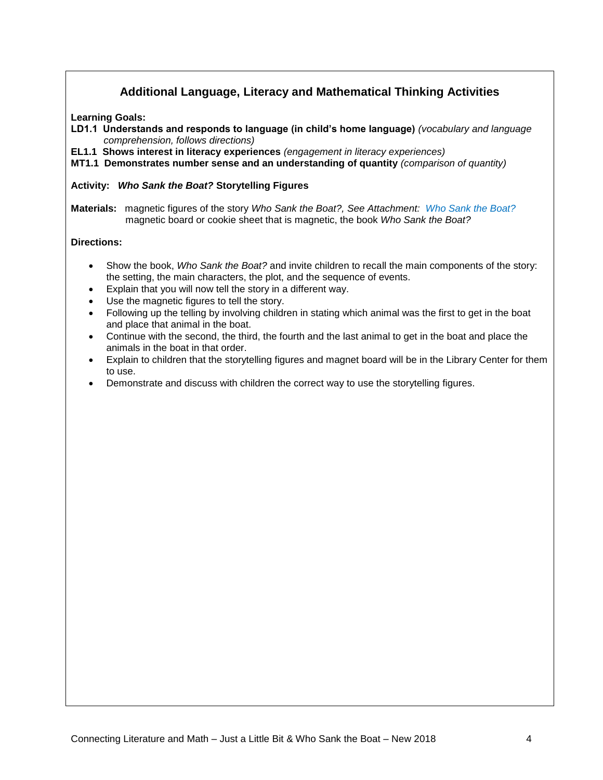# **Additional Language, Literacy and Mathematical Thinking Activities**

**Learning Goals:**

- **LD1.1 Understands and responds to language (in child's home language)** *(vocabulary and language comprehension, follows directions)*
- **EL1.1 Shows interest in literacy experiences** *(engagement in literacy experiences)*

**MT1.1 Demonstrates number sense and an understanding of quantity** *(comparison of quantity)*

#### **Activity:** *Who Sank the Boat?* **Storytelling Figures**

**Materials:** magnetic figures of the story *Who Sank the Boat?, See Attachment: Who Sank the Boat?* magnetic board or cookie sheet that is magnetic, the book *Who Sank the Boat?*

#### **Directions:**

- Show the book, *Who Sank the Boat?* and invite children to recall the main components of the story: the setting, the main characters, the plot, and the sequence of events.
- Explain that you will now tell the story in a different way.
- Use the magnetic figures to tell the story.
- Following up the telling by involving children in stating which animal was the first to get in the boat and place that animal in the boat.
- Continue with the second, the third, the fourth and the last animal to get in the boat and place the animals in the boat in that order.
- Explain to children that the storytelling figures and magnet board will be in the Library Center for them to use.
- Demonstrate and discuss with children the correct way to use the storytelling figures.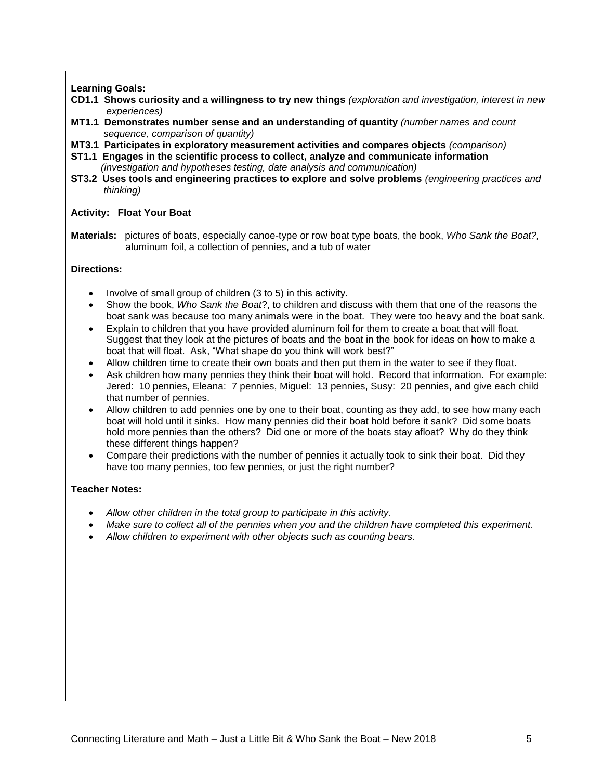**Learning Goals:**

- **CD1.1 Shows curiosity and a willingness to try new things** *(exploration and investigation, interest in new experiences)*
- **MT1.1 Demonstrates number sense and an understanding of quantity** *(number names and count sequence, comparison of quantity)*
- **MT3.1 Participates in exploratory measurement activities and compares objects** *(comparison)*
- **ST1.1 Engages in the scientific process to collect, analyze and communicate information** *(investigation and hypotheses testing, date analysis and communication)*
- **ST3.2 Uses tools and engineering practices to explore and solve problems** *(engineering practices and thinking)*

#### **Activity: Float Your Boat**

**Materials:** pictures of boats, especially canoe-type or row boat type boats, the book, *Who Sank the Boat?,*  aluminum foil, a collection of pennies, and a tub of water

## **Directions:**

- Involve of small group of children (3 to 5) in this activity.
- Show the book, *Who Sank the Boat*?, to children and discuss with them that one of the reasons the boat sank was because too many animals were in the boat. They were too heavy and the boat sank.
- Explain to children that you have provided aluminum foil for them to create a boat that will float. Suggest that they look at the pictures of boats and the boat in the book for ideas on how to make a boat that will float. Ask, "What shape do you think will work best?"
- Allow children time to create their own boats and then put them in the water to see if they float.
- Ask children how many pennies they think their boat will hold. Record that information. For example: Jered: 10 pennies, Eleana: 7 pennies, Miguel: 13 pennies, Susy: 20 pennies, and give each child that number of pennies.
- Allow children to add pennies one by one to their boat, counting as they add, to see how many each boat will hold until it sinks. How many pennies did their boat hold before it sank? Did some boats hold more pennies than the others? Did one or more of the boats stay afloat? Why do they think these different things happen?
- Compare their predictions with the number of pennies it actually took to sink their boat. Did they have too many pennies, too few pennies, or just the right number?

#### **Teacher Notes:**

- *Allow other children in the total group to participate in this activity.*
- *Make sure to collect all of the pennies when you and the children have completed this experiment.*
- *Allow children to experiment with other objects such as counting bears.*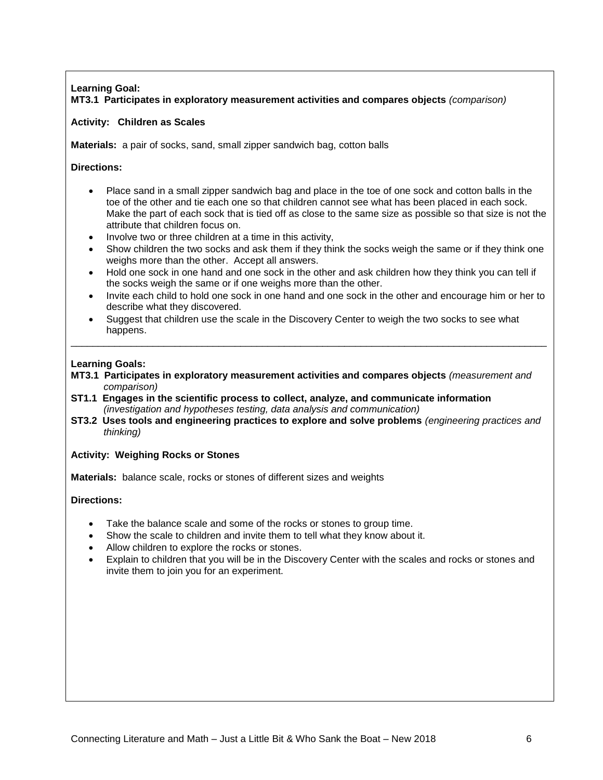## **Learning Goal: MT3.1 Participates in exploratory measurement activities and compares objects** *(comparison)*

### **Activity: Children as Scales**

**Materials:** a pair of socks, sand, small zipper sandwich bag, cotton balls

**Directions:**

- Place sand in a small zipper sandwich bag and place in the toe of one sock and cotton balls in the toe of the other and tie each one so that children cannot see what has been placed in each sock. Make the part of each sock that is tied off as close to the same size as possible so that size is not the attribute that children focus on.
- Involve two or three children at a time in this activity,
- Show children the two socks and ask them if they think the socks weigh the same or if they think one weighs more than the other. Accept all answers.
- Hold one sock in one hand and one sock in the other and ask children how they think you can tell if the socks weigh the same or if one weighs more than the other.
- Invite each child to hold one sock in one hand and one sock in the other and encourage him or her to describe what they discovered.
- Suggest that children use the scale in the Discovery Center to weigh the two socks to see what happens. \_\_\_\_\_\_\_\_\_\_\_\_\_\_\_\_\_\_\_\_\_\_\_\_\_\_\_\_\_\_\_\_\_\_\_\_\_\_\_\_\_\_\_\_\_\_\_\_\_\_\_\_\_\_\_\_\_\_\_\_\_\_\_\_\_\_\_\_\_\_\_\_\_\_\_\_\_\_\_\_\_\_\_\_\_\_\_

#### **Learning Goals:**

- **MT3.1 Participates in exploratory measurement activities and compares objects** *(measurement and comparison)*
- **ST1.1 Engages in the scientific process to collect, analyze, and communicate information** *(investigation and hypotheses testing, data analysis and communication)*
- **ST3.2 Uses tools and engineering practices to explore and solve problems** *(engineering practices and thinking)*

**Activity: Weighing Rocks or Stones**

**Materials:** balance scale, rocks or stones of different sizes and weights

## **Directions:**

- Take the balance scale and some of the rocks or stones to group time.
- Show the scale to children and invite them to tell what they know about it.
- Allow children to explore the rocks or stones.
- Explain to children that you will be in the Discovery Center with the scales and rocks or stones and invite them to join you for an experiment.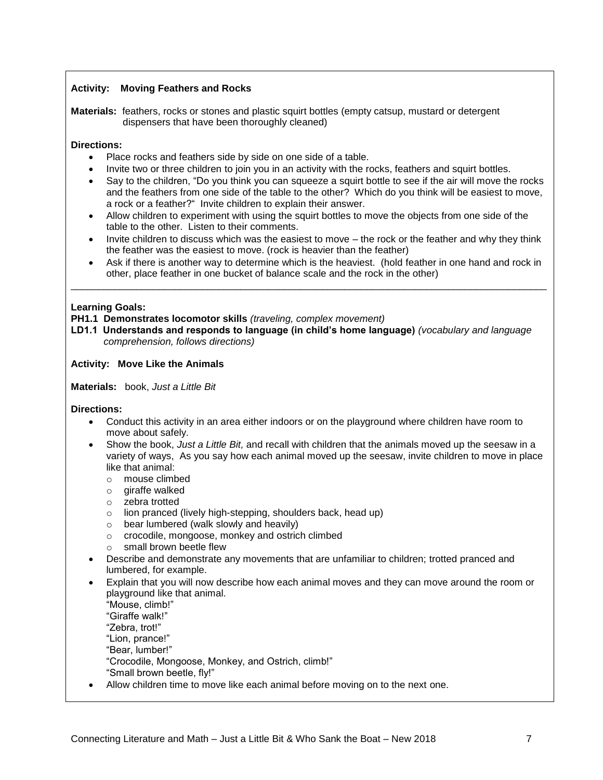## **Activity: Moving Feathers and Rocks**

**Materials:** feathers, rocks or stones and plastic squirt bottles (empty catsup, mustard or detergent dispensers that have been thoroughly cleaned)

#### **Directions:**

- Place rocks and feathers side by side on one side of a table.
- Invite two or three children to join you in an activity with the rocks, feathers and squirt bottles.
- Say to the children, "Do you think you can squeeze a squirt bottle to see if the air will move the rocks and the feathers from one side of the table to the other? Which do you think will be easiest to move, a rock or a feather?" Invite children to explain their answer.
- Allow children to experiment with using the squirt bottles to move the objects from one side of the table to the other. Listen to their comments.
- Invite children to discuss which was the easiest to move the rock or the feather and why they think the feather was the easiest to move. (rock is heavier than the feather)
- Ask if there is another way to determine which is the heaviest. (hold feather in one hand and rock in other, place feather in one bucket of balance scale and the rock in the other)

\_\_\_\_\_\_\_\_\_\_\_\_\_\_\_\_\_\_\_\_\_\_\_\_\_\_\_\_\_\_\_\_\_\_\_\_\_\_\_\_\_\_\_\_\_\_\_\_\_\_\_\_\_\_\_\_\_\_\_\_\_\_\_\_\_\_\_\_\_\_\_\_\_\_\_\_\_\_\_\_\_\_\_\_\_\_\_

#### **Learning Goals:**

**PH1.1 Demonstrates locomotor skills** *(traveling, complex movement)*

**LD1.1 Understands and responds to language (in child's home language)** *(vocabulary and language comprehension, follows directions)*

**Activity: Move Like the Animals**

**Materials:** book, *Just a Little Bit*

**Directions:**

- Conduct this activity in an area either indoors or on the playground where children have room to move about safely.
- Show the book, *Just a Little Bit,* and recall with children that the animals moved up the seesaw in a variety of ways, As you say how each animal moved up the seesaw, invite children to move in place like that animal:
	- o mouse climbed
	- o giraffe walked
	- o zebra trotted
	- o lion pranced (lively high-stepping, shoulders back, head up)
	- o bear lumbered (walk slowly and heavily)
	- o crocodile, mongoose, monkey and ostrich climbed
	- o small brown beetle flew
- Describe and demonstrate any movements that are unfamiliar to children; trotted pranced and lumbered, for example.
- Explain that you will now describe how each animal moves and they can move around the room or playground like that animal.

"Mouse, climb!" "Giraffe walk!" "Zebra, trot!" "Lion, prance!" "Bear, lumber!" "Crocodile, Mongoose, Monkey, and Ostrich, climb!" "Small brown beetle, fly!"

Allow children time to move like each animal before moving on to the next one.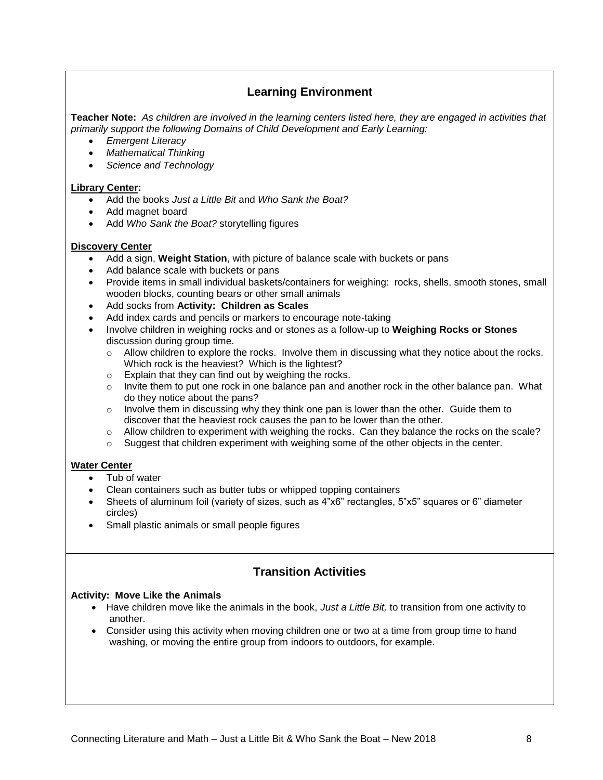# **Learning Environment**

**Teacher Note:** *As children are involved in the learning centers listed here, they are engaged in activities that primarily support the following Domains of Child Development and Early Learning:*

- *Emergent Literacy*
- *Mathematical Thinking*
- *Science and Technology*

#### **Library Center:**

- Add the books *Just a Little Bit* and *Who Sank the Boat?*
- Add magnet board
- Add *Who Sank the Boat?* storytelling figures

#### **Discovery Center**

- Add a sign, **Weight Station**, with picture of balance scale with buckets or pans
- Add balance scale with buckets or pans
- Provide items in small individual baskets/containers for weighing: rocks, shells, smooth stones, small wooden blocks, counting bears or other small animals
- Add socks from **Activity: Children as Scales**
- Add index cards and pencils or markers to encourage note-taking
- Involve children in weighing rocks and or stones as a follow-up to **Weighing Rocks or Stones** discussion during group time.
	- $\circ$  Allow children to explore the rocks. Involve them in discussing what they notice about the rocks. Which rock is the heaviest? Which is the lightest?
	- o Explain that they can find out by weighing the rocks.
	- $\circ$  Invite them to put one rock in one balance pan and another rock in the other balance pan. What do they notice about the pans?
	- $\circ$  Involve them in discussing why they think one pan is lower than the other. Guide them to discover that the heaviest rock causes the pan to be lower than the other.
	- $\circ$  Allow children to experiment with weighing the rocks. Can they balance the rocks on the scale?
	- $\circ$  Suggest that children experiment with weighing some of the other objects in the center.

## **Water Center**

- Tub of water
- Clean containers such as butter tubs or whipped topping containers
- Sheets of aluminum foil (variety of sizes, such as 4"x6" rectangles, 5"x5" squares or 6" diameter circles)
- Small plastic animals or small people figures

# **Transition Activities**

## **Activity: Move Like the Animals**

- Have children move like the animals in the book, *Just a Little Bit,* to transition from one activity to another.
- Consider using this activity when moving children one or two at a time from group time to hand washing, or moving the entire group from indoors to outdoors, for example.